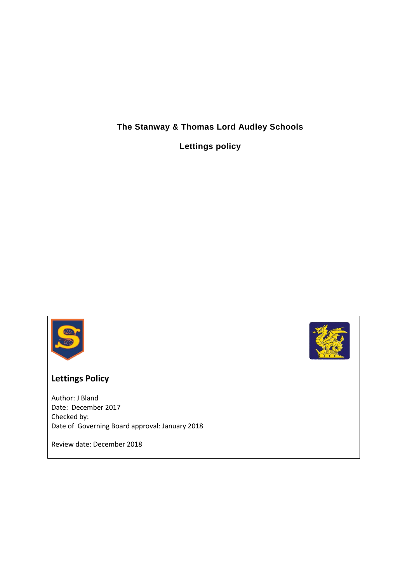## **The Stanway & Thomas Lord Audley Schools**

**Lettings policy**





## **Lettings Policy**

Author: J Bland Date: December 2017 Checked by: Date of Governing Board approval: January 2018

Review date: December 2018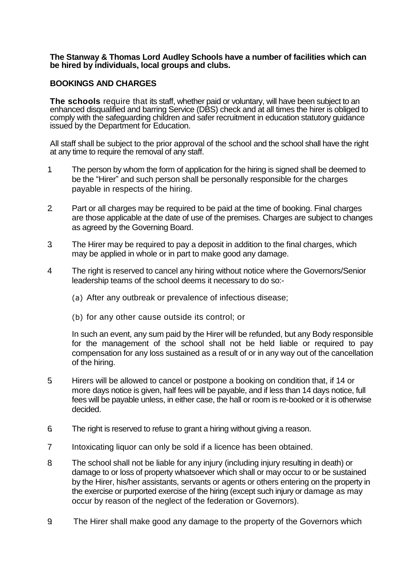**The Stanway & Thomas Lord Audley Schools have a number of facilities which can be hired by individuals, local groups and clubs.**

## **BOOKINGS AND CHARGES**

**The schools** require that its staff, whether paid or voluntary, will have been subject to an enhanced disqualified and barring Service (DBS) check and at all times the hirer is obliged to comply with the safeguarding children and safer recruitment in education statutory guidance issued by the Department for Education.

All staff shall be subject to the prior approval of the school and the school shall have the right at any time to require the removal of any staff.

- 1. The person by whom the form of application for the hiring is signed shall be deemed to be the "Hirer" and such person shall be personally responsible for the charges payable in respects of the hiring.
- 2. Part or all charges may be required to be paid at the time of booking. Final charges are those applicable at the date of use of the premises. Charges are subject to changes as agreed by the Governing Board.
- 3. The Hirer may be required to pay a deposit in addition to the final charges, which may be applied in whole or in part to make good any damage.
- 4 The right is reserved to cancel any hiring without notice where the Governors/Senior leadership teams of the school deems it necessary to do so:-
	- (a) After any outbreak or prevalence of infectious disease;
	- (b) for any other cause outside its control; or

In such an event, any sum paid by the Hirer will be refunded, but any Body responsible for the management of the school shall not be held liable or required to pay compensation for any loss sustained as a result of or in any way out of the cancellation of the hiring.

- 5. Hirers will be allowed to cancel or postpone a booking on condition that, if 14 or more days notice is given, half fees will be payable, and if less than 14 days notice, full fees will be payable unless, in either case, the hall or room is re-booked or it is otherwise decided.
- 6. The right is reserved to refuse to grant a hiring without giving a reason.
- 7 Intoxicating liquor can only be sold if a licence has been obtained.
- 8. The school shall not be liable for any injury (including injury resulting in death) or damage to or loss of property whatsoever which shall or may occur to or be sustained by the Hirer, his/her assistants, servants or agents or others entering on the property in the exercise or purported exercise of the hiring (except such injury or damage as may occur by reason of the neglect of the federation or Governors).
- 9. The Hirer shall make good any damage to the property of the Governors which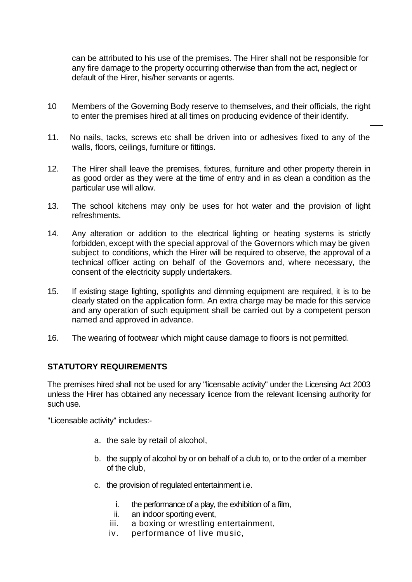can be attributed to his use of the premises. The Hirer shall not be responsible for any fire damage to the property occurring otherwise than from the act, neglect or default of the Hirer, his/her servants or agents.

- 10 Members of the Governing Body reserve to themselves, and their officials, the right to enter the premises hired at all times on producing evidence of their identify.
- 11. No nails, tacks, screws etc shall be driven into or adhesives fixed to any of the walls, floors, ceilings, furniture or fittings.
- 12. The Hirer shall leave the premises, fixtures, furniture and other property therein in as good order as they were at the time of entry and in as clean a condition as the particular use will allow.
- 13. The school kitchens may only be uses for hot water and the provision of light refreshments.
- 14. Any alteration or addition to the electrical lighting or heating systems is strictly forbidden, except with the special approval of the Governors which may be given subject to conditions, which the Hirer will be required to observe, the approval of a technical officer acting on behalf of the Governors and, where necessary, the consent of the electricity supply undertakers.
- 15. If existing stage lighting, spotlights and dimming equipment are required, it is to be clearly stated on the application form. An extra charge may be made for this service and any operation of such equipment shall be carried out by a competent person named and approved in advance.
- 16. The wearing of footwear which might cause damage to floors is not permitted.

## **STATUTORY REQUIREMENTS**

The premises hired shall not be used for any "licensable activity" under the Licensing Act 2003 unless the Hirer has obtained any necessary licence from the relevant licensing authority for such use.

"Licensable activity" includes:-

- a. the sale by retail of alcohol,
- b. the supply of alcohol by or on behalf of a club to, or to the order of a member of the club,
- c. the provision of regulated entertainment i.e.
	- i. the performance of a play, the exhibition of a film,
	- ii. an indoor sporting event,
	- iii. a boxing or wrestling entertainment,
	- iv. performance of live music,